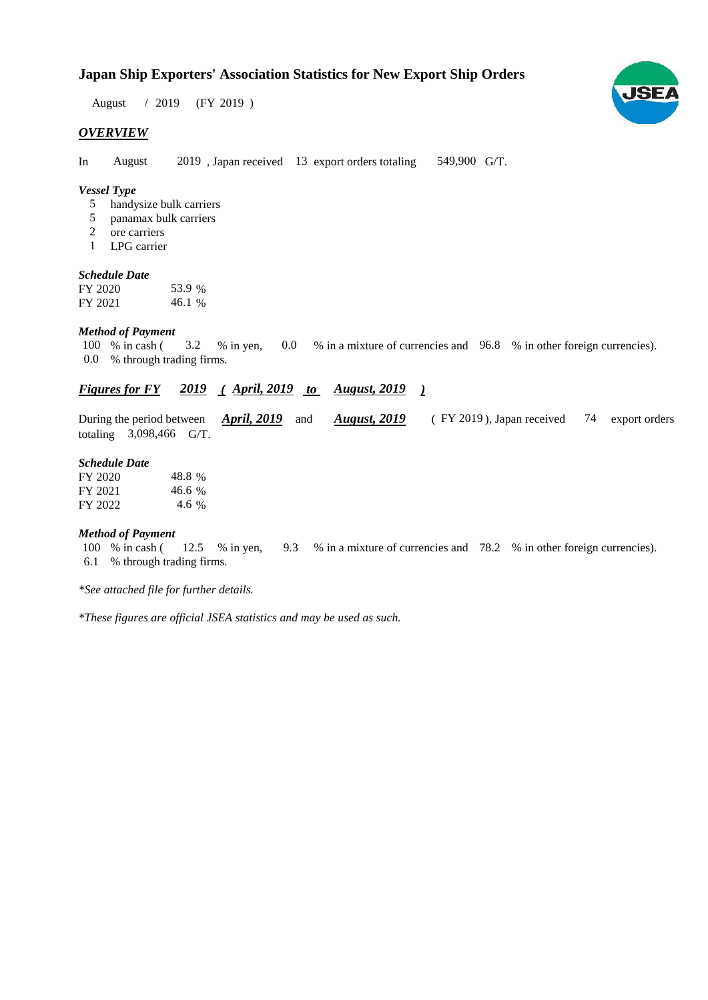## **Japan Ship Exporters' Association Statistics for New Export Ship Orders**

 $/ 2019$  (FY 2019) August

#### *OVERVIEW*

In August 2019, Japan received 13 export orders totaling 549,900 G/T. August

#### *Vessel Type*

- handysize bulk carriers 5
- panamax bulk carriers 5
- ore carriers 2
- LPG carrier 1

#### *Schedule Date*

FY 2020 FY 2021 46.1 53.9

#### *Method of Payment*

% in cash ( $\frac{3.2}{8}$  % in yen, 0.0 % in a mixture of currencies and 96.8 % in other foreign currencies). 0.0 % through trading firms. 100 % in cash ( 3.2 % in yen,

### *Figures for FY* 2019 (April, 2019 to August, 2019)

During the period between *April, 2019* and *August, 2019* (FY 2019), Japan received 74 export orders totaling  $3,098,466$  G/T. *April, 2019* and *August, 2019* 74 export orders

#### *Schedule Date*

| FY 2020 | 48.8 % |
|---------|--------|
| FY 2021 | 46.6 % |
| FY 2022 | 4.6 %  |

#### *Method of Payment*

100 % in cash ( $12.5$  % in yen,  $9.3$  % in a mixture of currencies and 78.2 % in other foreign currencies). % through trading firms. 6.1

*\*See attached file for further details.*

*\*These figures are official JSEA statistics and may be used as such.*

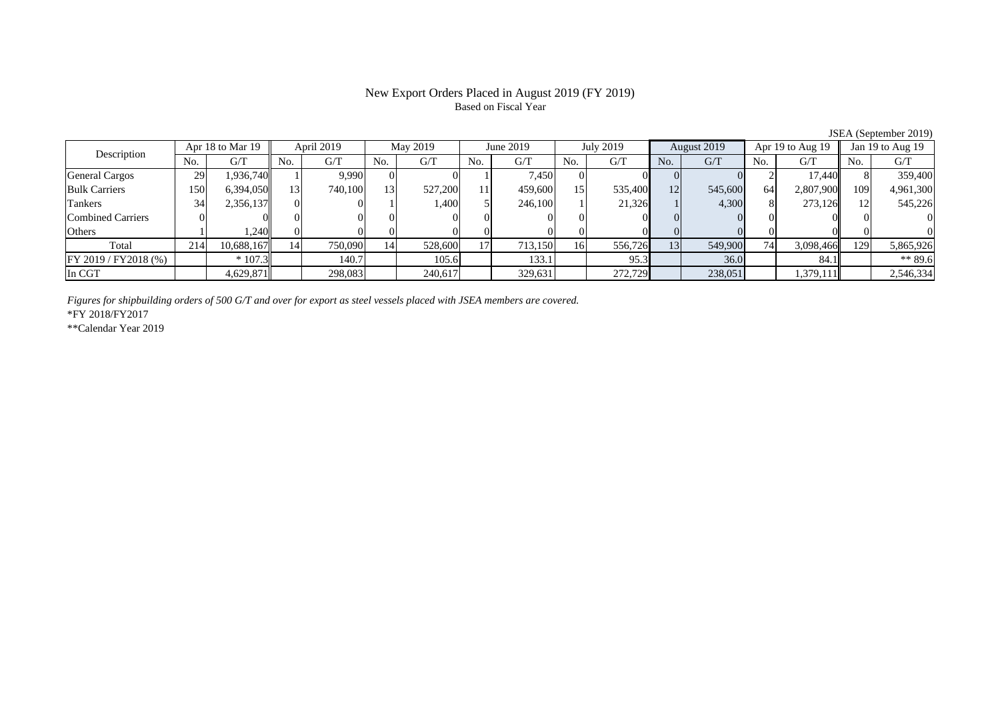### New Export Orders Placed in August 2019 (FY 2019) Based on Fiscal Year

| Description              |      | Apr 18 to Mar 19 | April 2019 |         | May 2019 |         | June 2019 |         | July 2019 |         | August 2019 |         | Apr 19 to Aug 19 |           | Jan 19 to Aug $19$ |           |
|--------------------------|------|------------------|------------|---------|----------|---------|-----------|---------|-----------|---------|-------------|---------|------------------|-----------|--------------------|-----------|
|                          | No.  | G/T              | No.        | G/T     | No.      | G/T     | No.       | G/T     | No.       | G/T     | No.         | G/T     | No.              | G/T       | No.                | G/T       |
| General Cargos           | 29   | 1,936,740        |            | 9.990   |          |         |           | 7,450   |           |         |             |         |                  | 17.440    |                    | 359,400   |
| <b>Bulk Carriers</b>     | .501 | 6,394,050        | 13         | 740,100 | 13       | 527,200 |           | 459,600 | 15        | 535,400 | 12          | 545,600 | 64               | 2,807,900 | 109                | 4,961,300 |
| Tankers                  | 34   | 2,356,137        |            |         |          | 1,400   |           | 246,100 |           | 21,326  |             | 4,300   |                  | 273,126   |                    | 545,226   |
| <b>Combined Carriers</b> |      |                  |            |         |          |         |           |         |           |         |             |         |                  |           |                    |           |
| Others                   |      | 1,240            |            |         |          |         |           |         |           |         |             |         |                  |           |                    |           |
| Total                    | 214  | 10,688,167       | 14         | 750,090 |          | 528,600 | 17        | 713,150 | 16        | 556,726 | 13          | 549,900 | 74               | 3,098,466 | 129                | 5,865,926 |
| FY 2019 / FY2018 (%)     |      | $*107.3$         |            | 140.7   |          | 105.6   |           | 133.1   |           | 95.3    |             | 36.0    |                  | 84.1      |                    | ** 89.6   |
| In CGT                   |      | 4,629,871        |            | 298,083 |          | 240,617 |           | 329,631 |           | 272,729 |             | 238,051 |                  | 1,379,111 |                    | 2,546,334 |

JSEA (September 2019)

*Figures for shipbuilding orders of 500 G/T and over for export as steel vessels placed with JSEA members are covered.*

\*FY 2018/FY2017

\*\*Calendar Year 2019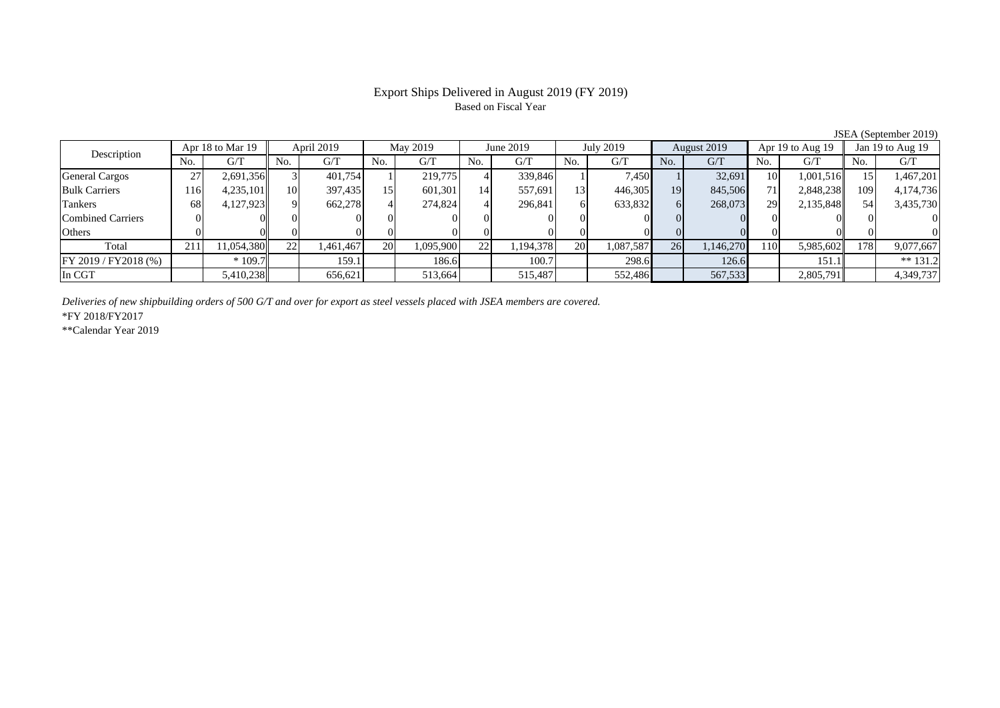# Based on Fiscal Year

JSEA (September 2019)<br>  $\parallel$  Jan 19 to Aug 19 No. G/T No. G/T No. G/T No. G/T No. G/T No. G/T No. G/T No. G/T $G/T$ General Cargos ( 27 2,691,356 3 401,754 1 219,775 4 339,846 1 7,450 1 32,691 10 1,001,516 15 1,467,201 Bulk Carriers 116 4,235,101 10 397,435 15 601,301 14 557,691 13 446,305 19 845,506 71 2,848,238 109 4,174,736 Tankers | 68| 4,127,923|| 9| 662,278| 4| 274,824| 4| 296,841| 6| 633,832| 6| 268,073| 29| 2,135,848|| 54| 3,435,730 Combined Carriers 0 0 0 0 0 0 0 0 0 0 0 0 0 0 0 0Others 0 0 0 0 0 0 0 0 0 0 0 0 0 0 0 0Total 211 11,054,380 22 1,461,467 20 1,095,900 22 1,194,378 20 1,087,587 26 1,146,270 110 5,985,602 178 9,077,667 |FY 2019 / FY2018 (%) | | \* 109.7 | 159.1 | 186.6 | 100.7 | 298.6 | 126.6 | 151.1 | \*\* 131.2 In CGT | | 5,410,238 || | 656,621 || | 513,664 || | 515,487 || | 552,486 || | 567,533 || 2,805,791 || | 4,349,737 Description Apr 18 to Mar 19 April 2019 May 2019 June 2019 July 2019 August 2019 Apr 19 to Aug 19 Jan 19 to Aug 19 July 2019 August 2019 Apr 19 to Aug 19

*Deliveries of new shipbuilding orders of 500 G/T and over for export as steel vessels placed with JSEA members are covered.*

\*FY 2018/FY2017

\*\*Calendar Year 2019

# Export Ships Delivered in August 2019 (FY 2019)